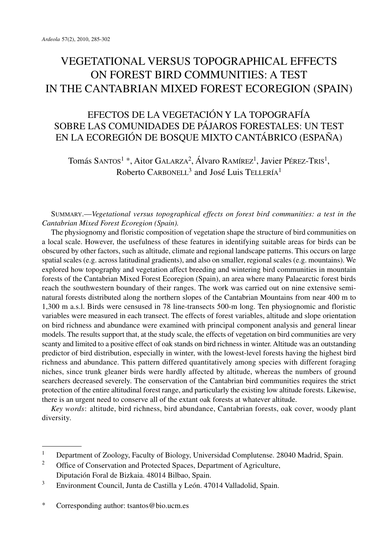# VEGETATIONAL VERSUS TOPOGRAPHICAL EFFECTS ON FOREST BIRD COMMUNITIES: A TEST IN THE CANTABRIAN MIXED FOREST ECOREGION (SPAIN)

# EFECTOS DE LA VEGETACIÓN Y LA TOPOGRAFÍA SOBRE LAS COMUNIDADES DE PÁJAROS FORESTALES: UN TEST EN LA ECOREGIÓN DE BOSQUE MIXTO CANTÁBRICO (ESPAÑA)

Tomás SANTOS<sup>1</sup> \*, Aitor GALARZA<sup>2</sup>, Álvaro RAMírez<sup>1</sup>, Javier Pérez-Tris<sup>1</sup>, Roberto CARBONELL<sup>3</sup> and José Luis TELLERÍA<sup>1</sup>

SUMMARY.—*Vegetational versus topographical effects on forest bird communities: a test in the Cantabrian Mixed Forest Ecoregion (Spain).*

The physiognomy and floristic composition of vegetation shape the structure of bird communities on a local scale. However, the usefulness of these features in identifying suitable areas for birds can be obscured by other factors, such as altitude, climate and regional landscape patterns. This occurs on large spatial scales (e.g. across latitudinal gradients), and also on smaller, regional scales (e.g. mountains). We explored how topography and vegetation affect breeding and wintering bird communities in mountain forests of the Cantabrian Mixed Forest Ecoregion (Spain), an area where many Palaearctic forest birds reach the southwestern boundary of their ranges. The work was carried out on nine extensive seminatural forests distributed along the northern slopes of the Cantabrian Mountains from near 400 m to 1,300 m a.s.l. Birds were censused in 78 line-transects 500-m long. Ten physiognomic and floristic variables were measured in each transect. The effects of forest variables, altitude and slope orientation on bird richness and abundance were examined with principal component analysis and general linear models. The results support that, at the study scale, the effects of vegetation on bird communities are very scanty and limited to a positive effect of oak stands on bird richness in winter. Altitude was an outstanding predictor of bird distribution, especially in winter, with the lowest-level forests having the highest bird richness and abundance. This pattern differed quantitatively among species with different foraging niches, since trunk gleaner birds were hardly affected by altitude, whereas the numbers of ground searchers decreased severely. The conservation of the Cantabrian bird communities requires the strict protection of the entire altitudinal forest range, and particularly the existing low altitude forests. Likewise, there is an urgent need to conserve all of the extant oak forests at whatever altitude.

*Key words*: altitude, bird richness, bird abundance, Cantabrian forests, oak cover, woody plant diversity.

<sup>&</sup>lt;sup>1</sup> Department of Zoology, Faculty of Biology, Universidad Complutense. 28040 Madrid, Spain.<br><sup>2</sup> Office of Concernation and Protected Spaces. Department of Agriculture.

Office of Conservation and Protected Spaces, Department of Agriculture, Diputación Foral de Bizkaia. 48014 Bilbao, Spain.

<sup>&</sup>lt;sup>3</sup> Environment Council, Junta de Castilla y León. 47014 Valladolid, Spain.

<sup>\*</sup> Corresponding author: tsantos@bio.ucm.es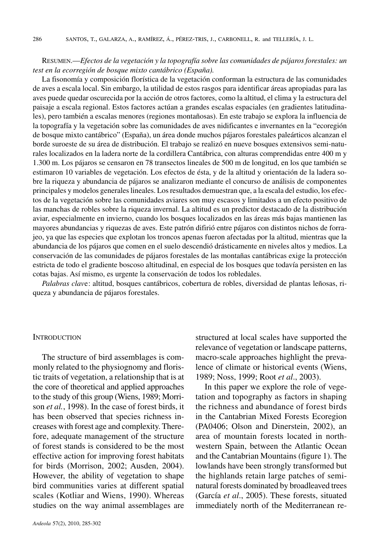#### RESUMEN.—*Efectos de la vegetación y la topografía sobre las comunidades de pájaros forestales: un test en la ecorregión de bosque mixto cantábrico (España).*

La fisonomía y composición florística de la vegetación conforman la estructura de las comunidades de aves a escala local. Sin embargo, la utilidad de estos rasgos para identificar áreas apropiadas para las aves puede quedar oscurecida por la acción de otros factores, como la altitud, el clima y la estructura del paisaje a escala regional. Estos factores actúan a grandes escalas espaciales (en gradientes latitudinales), pero también a escalas menores (regiones montañosas). En este trabajo se explora la influencia de la topografía y la vegetación sobre las comunidades de aves nidificantes e invernantes en la "ecoregión de bosque mixto cantábrico" (España), un área donde muchos pájaros forestales paleárticos alcanzan el borde suroeste de su área de distribución. El trabajo se realizó en nueve bosques extensivos semi-naturales localizados en la ladera norte de la cordillera Cantábrica, con alturas comprendidas entre 400 m y 1.300 m. Los pájaros se censaron en 78 transectos lineales de 500 m de longitud, en los que también se estimaron 10 variables de vegetación. Los efectos de ésta, y de la altitud y orientación de la ladera sobre la riqueza y abundancia de pájaros se analizaron mediante el concurso de análisis de componentes principales y modelos generaleslineales. Losresultados demuestran que, a la escala del estudio, los efectos de la vegetación sobre las comunidades aviares son muy escasos y limitados a un efecto positivo de las manchas de robles sobre la riqueza invernal. La altitud es un predictor destacado de la distribución aviar, especialmente en invierno, cuando los bosques localizados en las áreas más bajas mantienen las mayores abundancias y riquezas de aves. Este patrón difirió entre pájaros con distintos nichos de forrajeo, ya que las especies que explotan los troncos apenas fueron afectadas por la altitud, mientras que la abundancia de los pájaros que comen en el suelo descendió drásticamente en niveles altos y medios. La conservación de las comunidades de pájaros forestales de las montañas cantábricas exige la protección estricta de todo el gradiente boscoso altitudinal, en especial de los bosques que todavía persisten en las cotas bajas. Así mismo, es urgente la conservación de todos los robledales.

*Palabras clav*e: altitud, bosques cantábricos, cobertura de robles, diversidad de plantas leñosas, riqueza y abundancia de pájaros forestales.

#### **INTRODUCTION**

The structure of bird assemblages is commonly related to the physiognomy and floristic traits of vegetation, a relationship that is at the core of theoretical and applied approaches to the study of this group (Wiens, 1989; Morrison *et al.*, 1998). In the case of forest birds, it has been observed that species richness increases with forest age and complexity. Therefore, adequate management of the structure of forest stands is considered to be the most effective action for improving forest habitats for birds (Morrison, 2002; Ausden, 2004). However, the ability of vegetation to shape bird communities varies at different spatial scales (Kotliar and Wiens, 1990). Whereas studies on the way animal assemblages are

structured at local scales have supported the relevance of vegetation or landscape patterns, macro-scale approaches highlight the prevalence of climate or historical events (Wiens, 1989; Noss, 1999; Root *et al*., 2003).

In this paper we explore the role of vegetation and topography as factors in shaping the richness and abundance of forest birds in the Cantabrian Mixed Forests Ecoregion (PA0406; Olson and Dinerstein, 2002), an area of mountain forests located in northwestern Spain, between the Atlantic Ocean and the Cantabrian Mountains (figure 1). The lowlands have been strongly transformed but the highlands retain large patches of seminatural forests dominated by broadleaved trees (García *et al*., 2005). These forests, situated immediately north of the Mediterranean re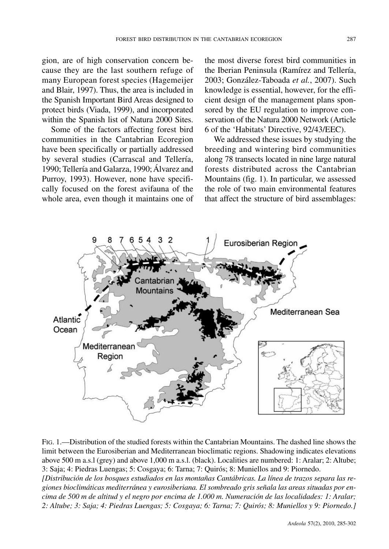gion, are of high conservation concern because they are the last southern refuge of many European forest species (Hagemeijer and Blair, 1997). Thus, the area is included in the Spanish Important Bird Areas designed to protect birds (Viada, 1999), and incorporated within the Spanish list of Natura 2000 Sites.

Some of the factors affecting forest bird communities in the Cantabrian Ecoregion have been specifically or partially addressed by several studies (Carrascal and Tellería, 1990; Tellería and Galarza, 1990;Álvarez and Purroy, 1993). However, none have specifically focused on the forest avifauna of the whole area, even though it maintains one of

the most diverse forest bird communities in the Iberian Peninsula (Ramírez and Tellería, 2003; González-Taboada *et al.*, 2007). Such knowledge is essential, however, for the efficient design of the management plans sponsored by the EU regulation to improve conservation of the Natura 2000 Network (Article 6 of the 'Habitats' Directive, 92/43/EEC).

We addressed these issues by studying the breeding and wintering bird communities along 78 transects located in nine large natural forests distributed across the Cantabrian Mountains (fig. 1). In particular, we assessed the role of two main environmental features that affect the structure of bird assemblages:



FIG. 1.—Distribution of the studied forests within the Cantabrian Mountains. The dashed line shows the limit between the Eurosiberian and Mediterranean bioclimatic regions. Shadowing indicates elevations above 500 m a.s.l (grey) and above 1,000 m a.s.l. (black). Localities are numbered: 1: Aralar; 2: Altube; 3: Saja; 4: Piedras Luengas; 5: Cosgaya; 6: Tarna; 7: Quirós; 8: Muniellos and 9: Piornedo. *[Distribución de los bosques estudiados en las montañas Cantábricas. La línea de trazos separa las regiones bioclimáticas mediterránea y eurosiberiana. El sombreado gris señala las areas situadas por en*cima de 500 m de altitud y el negro por encima de 1.000 m. Numeración de las localidades: 1: Aralar; 2: Altube; 3: Saja; 4: Piedras Luengas; 5: Cosgaya; 6: Tarna; 7: Quirós; 8: Muniellos y 9: Piornedo.]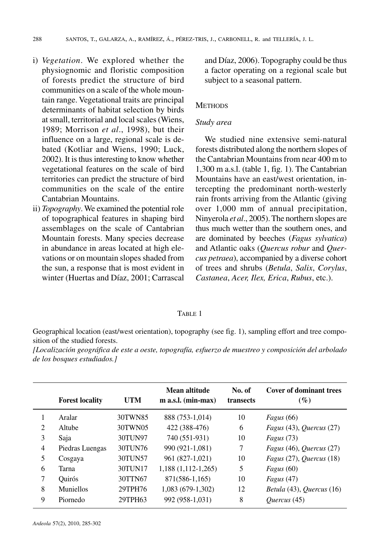288 SANTOS, T., GALARZA, A., RAMÍREZ, Á., PÉREZ-TRIS, J., CARBONELL, R. and TELLERÍA, J. L.

- i) *Vegetation*. We explored whether the physiognomic and floristic composition of forests predict the structure of bird communities on a scale of the whole mountain range. Vegetational traits are principal determinants of habitat selection by birds at small, territorial and local scales (Wiens, 1989; Morrison *et al*., 1998), but their influence on a large, regional scale is debated (Kotliar and Wiens, 1990; Luck, 2002). It is thus interesting to know whether vegetational features on the scale of bird territories can predict the structure of bird communities on the scale of the entire Cantabrian Mountains.
- ii) *Topography*. We examined the potential role of topographical features in shaping bird assemblages on the scale of Cantabrian Mountain forests. Many species decrease in abundance in areas located at high elevations or on mountain slopes shaded from the sun, a response that is most evident in winter (Huertas and Díaz, 2001; Carrascal

and Díaz, 2006). Topography could be thus a factor operating on a regional scale but subject to a seasonal pattern.

### **METHODS**

#### *Study area*

We studied nine extensive semi-natural forests distributed along the northern slopes of the Cantabrian Mountains from near 400 m to 1,300 m a.s.l. (table 1, fig. 1). The Cantabrian Mountains have an east/west orientation, intercepting the predominant north-westerly rain fronts arriving from the Atlantic (giving over 1,000 mm of annual precipitation, Ninyerola *et al.*, 2005). The northern slopes are thus much wetter than the southern ones, and are dominated by beeches (*Fagus sylvatica*) and Atlantic oaks (*Quercus robur* and *Quercus petraea*), accompanied by a diverse cohort of trees and shrubs (*Betula*, *Salix*, *Corylus*, *Castanea*, *Acer, Ilex, Erica*, *Rubus*, etc.).

#### TABLE 1

Geographical location (east/west orientation), topography (see fig. 1), sampling effort and tree composition of the studied forests.

*[Localización geográfica de este a oeste, topografía, esfuerzo de muestreo y composición del arbolado de los bosques estudiados.]*

|                               | <b>Forest locality</b> | <b>UTM</b> | Mean altitude<br>$m$ a.s.l. (min-max) | No. of<br>transects | <b>Cover of dominant trees</b><br>$(\%)$ |
|-------------------------------|------------------------|------------|---------------------------------------|---------------------|------------------------------------------|
|                               | Aralar                 | 30TWN85    | 888 (753-1,014)                       | 10                  | Fagus $(66)$                             |
| $\mathfrak{D}_{\mathfrak{p}}$ | Altube                 | 30TWN05    | 422 (388-476)                         | 6                   | Fagus $(43)$ , Quercus $(27)$            |
| 3                             | Saja                   | 30TUN97    | 740 (551-931)                         | 10                  | Fagus $(73)$                             |
| 4                             | Piedras Luengas        | 30TUN76    | 990 (921-1,081)                       | 7                   | Fagus $(46)$ , Quercus $(27)$            |
| 5                             | Cosgaya                | 30TUN57    | 961 (827-1,021)                       | 10                  | Fagus (27), Quercus (18)                 |
| 6                             | Tarna                  | 30TUN17    | $1,188$ $(1,112-1,265)$               | 5                   | <i>Fagus</i> $(60)$                      |
| 7                             | <b>Ouirós</b>          | 30TTN67    | 871(586-1,165)                        | 10                  | Fagus $(47)$                             |
| 8                             | <b>Muniellos</b>       | 29TPH76    | 1,083 (679-1,302)                     | 12                  | Betula (43), Quercus (16)                |
| 9                             | Piornedo               | 29TPH63    | 992 (958-1,031)                       | 8                   | <i>Ouercus</i> (45)                      |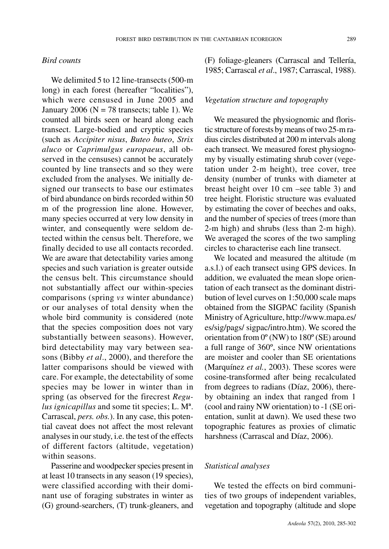#### *Bird counts*

We delimited 5 to 12 line-transects (500-m) long) in each forest (hereafter "localities"), which were censused in June 2005 and January 2006 ( $N = 78$  transects; table 1). We counted all birds seen or heard along each transect. Large-bodied and cryptic species (such as *Accipiter nisus*, *Buteo buteo*, *Strix aluco* or *Caprimulgus europaeus*, all observed in the censuses) cannot be accurately counted by line transects and so they were excluded from the analyses. We initially designed our transects to base our estimates of bird abundance on birds recorded within 50 m of the progression line alone. However, many species occurred at very low density in winter, and consequently were seldom detected within the census belt. Therefore, we finally decided to use all contacts recorded. We are aware that detectability varies among species and such variation is greater outside the census belt. This circumstance should not substantially affect our within-species comparisons (spring *vs* winter abundance) or our analyses of total density when the whole bird community is considered (note that the species composition does not vary substantially between seasons). However, bird detectability may vary between seasons (Bibby *et al*., 2000), and therefore the latter comparisons should be viewed with care. For example, the detectability of some species may be lower in winter than in spring (as observed for the firecrest *Regulus ignicapillus* and some tit species; L. Mª. Carrascal, *pers. obs.*). In any case, this potential caveat does not affect the most relevant analysesin ourstudy, i.e. the test of the effects of different factors (altitude, vegetation) within seasons.

Passerine and woodpecker species present in at least 10 transects in any season (19 species), were classified according with their dominant use of foraging substrates in winter as (G) ground-searchers, (T) trunk-gleaners, and

(F) foliage-gleaners (Carrascal and Tellería, 1985; Carrascal *et al*., 1987; Carrascal, 1988).

#### *Vegetation structure and topography*

We measured the physiognomic and floristic structure of forests by means of two 25-m radius circles distributed at 200 m intervals along each transect. We measured forest physiognomy by visually estimating shrub cover (vegetation under 2-m height), tree cover, tree density (number of trunks with diameter at breast height over 10 cm –see table 3) and tree height. Floristic structure was evaluated by estimating the cover of beeches and oaks, and the number of species of trees (more than 2-m high) and shrubs (less than 2-m high). We averaged the scores of the two sampling circles to characterise each line transect.

We located and measured the altitude (m a.s.l.) of each transect using GPS devices. In addition, we evaluated the mean slope orientation of each transect as the dominant distribution of level curves on 1:50,000 scale maps obtained from the SIGPAC facility (Spanish Ministry of Agriculture, http://www.mapa.es/ es/sig/pags/ sigpac/intro.htm). We scored the orientation from 0º (NW) to 180º (SE) around a full range of 360º, since NW orientations are moister and cooler than SE orientations (Marquínez *et al.*, 2003). These scores were cosine-transformed after being recalculated from degrees to radians (Díaz, 2006), thereby obtaining an index that ranged from 1 (cool and rainy NW orientation) to -1 (SE orientation, sunlit at dawn). We used these two topographic features as proxies of climatic harshness (Carrascal and Díaz, 2006).

## *Statistical analyses*

We tested the effects on bird communities of two groups of independent variables, vegetation and topography (altitude and slope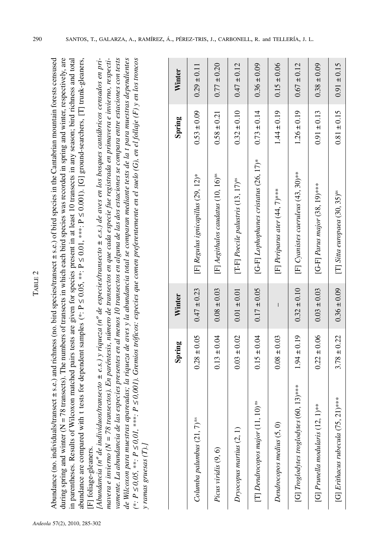| ٠<br>. . |
|----------|
| г<br>٠   |
|          |

Noundance (no. individuals/transect  $\pm$  s.e.) and richness (no. bird species/transect  $\pm$  s.e.) of bird species in the Cantabrian mountain forests censused Abundance (no. individuals/transect  $\pm$  s.e.) and richness (no. bird species/transect  $\pm$  s.e.) of bird species in the Cantabrian mountain forests censused during spring and winter ( $N = 78$  transects). The numbers of transects in which each bird species was recorded in spring and winter, respectively, are hich each bird species was recorded in spring and winter, respectively, are in parentheses. Results of Wilcoxon matched pairs tests are given for species present in at least 10 transects in any season; bird richness and total in parentheses. Results of Wilcoxon matched pairs tests are given for species present in at least 10 transects in any season; bird richness and total 0.001). [G] ground-searchers, [T] trunk-gleaners, ≤ $\leq 0.01$ , \*\*\*: P ≤ $\leq 0.05$ , \*\*: P he numbers of transects in w ≤abundance are compared with t tests for dependent samples (\*: P 78 transects). T during spring and winter (N F] foliage-gleaners. [F] foliage-gleaners.

vamente. La abundancia de las especies presentes en al menos 10 transectos en alguna de las dos estaciones se compara entre estaciones con tests Abundancia (nº de individuos/transecto  $\pm$  e.s.) y riqueza (nº de especies/transecto  $\pm$  e.s.) de aves en los bosques cantábricos censados en pri-[Abundancia (nº de individuos/transecto  $\pm$  e.s.) y riqueza (nº de especies/transecto  $\pm$  e.s.) de aves en los bosques cantábricos censados en primavera e invierno (N = 78 transectos). En paréntesis, número de transectos en que cada especie fue registrada en primavera e invierno, respecti-= 78 transectos). En paréntesis, número de transectos en que cada especie fue registrada en primavera e invierno, respectivamente. La abundancia de las especies presentes en al menos 10 transectos en alguna de las dos estaciones se compara entre estaciones con tests de Wilcoxon para muestras apareadas; la riqueza de aves y la abundancia total se comparan mediante tests de la t para muestras dependientes de Wilcoxon para muestras apareadas; la riqueza de aves y la abundancia total se comparan mediante tests de la t para muestras dependientes  $\leq$ 0,001). Gremios tróficos: especies que comen preferentemente en el suelo (G), en el follaje (F) y en los troncos ≤ *0,01,* \*\*\**: P* y ramas gruesas  $(T)$ .] *mavera e invierno (N y ramas gruesas (T).]* ≤ *0,05,* \*\**: P* ≤*(*\**: P*

|                                                     | Spring          | Winter          |                                                    | Spring          | Winter          |
|-----------------------------------------------------|-----------------|-----------------|----------------------------------------------------|-----------------|-----------------|
| $Columnba$ palumbus $(21, 7)$ <sup>"</sup>          | $0.28 \pm 0.05$ | $0.47 \pm 0.23$ | [F] Regulus ignicapillus (29, 12)*                 | $0.53 \pm 0.09$ | $0.29 \pm 0.11$ |
| Picus viridis (9, 6)                                | $0.13 \pm 0.04$ | $0.08 \pm 0.03$ | $[F]$ Aegithalos caudatus (10, 16) <sup>ns</sup>   | $0.58 \pm 0.21$ | $0.77 \pm 0.20$ |
| $Dryocopus$ martius $(2, 1)$                        | $0.03 \pm 0.02$ | $0.01 \pm 0.01$ | $[T-F]$ Poecile palustris $(13, 17)$ <sup>ns</sup> | $0.32 \pm 0.10$ | $0.47 \pm 0.12$ |
| [T] Dendrocopos major $(11, 10)^{m}$                | $0.15 \pm 0.04$ | $0.17 \pm 0.05$ | [G-F] Lophophanes cristatus $(26, 17)^*$           | $0.73 \pm 0.14$ | $0.36 \pm 0.09$ |
| Dendrocopos medius (5, 0)                           | $0.08 \pm 0.03$ |                 | $[F]$ Periparus ater (44, 7)****                   | $1.44 \pm 0.19$ | $0.15 \pm 0.06$ |
| [G] Troglodytes troglodytes $(60, 13)$ ***          | $1.94 \pm 0.19$ | $0.32 \pm 0.10$ | [F] Cyanistes caeruleus (43, 30)**                 | $1.26 \pm 0.19$ | $0.67 \pm 0.12$ |
| $1**$<br>[G] Prunella modularis (12,                | $0.22 \pm 0.06$ | $0.03 \pm 0.03$ | [G-F] Parus major (38, 19)***                      | $0.91 \pm 0.13$ | $0.38 \pm 0.09$ |
| $21$ <sup>****</sup><br>[G] Erithacus rubecula (75, | $3.78 \pm 0.22$ | $0.36 \pm 0.09$ | [T] Sitta europaea $(30, 35)$ <sup>ns</sup>        | $0.81 \pm 0.15$ | $0.91 \pm 0.15$ |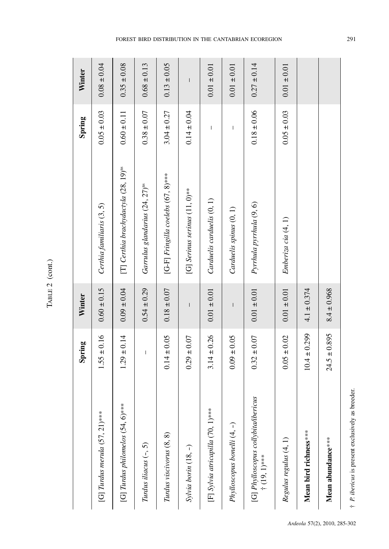| г.<br>г. |  |
|----------|--|

| [G] Turdus philomelos $(54, 6)$ ***<br>[G] Turdus merula $(57, 21)$ *** |                                                                                                                                                                                                                                                                                                                                                                                  |                                                                                                                                                                                                                                                                                                                                                                                                                |                                                  | Spring          | Winter                                                                                                                                                                                                                                                                                                                                                                                                         |
|-------------------------------------------------------------------------|----------------------------------------------------------------------------------------------------------------------------------------------------------------------------------------------------------------------------------------------------------------------------------------------------------------------------------------------------------------------------------|----------------------------------------------------------------------------------------------------------------------------------------------------------------------------------------------------------------------------------------------------------------------------------------------------------------------------------------------------------------------------------------------------------------|--------------------------------------------------|-----------------|----------------------------------------------------------------------------------------------------------------------------------------------------------------------------------------------------------------------------------------------------------------------------------------------------------------------------------------------------------------------------------------------------------------|
|                                                                         | $1.55 \pm 0.16$                                                                                                                                                                                                                                                                                                                                                                  | $0.60 \pm 0.15$                                                                                                                                                                                                                                                                                                                                                                                                | Certhia familiaris (3, 5)                        | $0.05 \pm 0.03$ | $0.08 \pm 0.04$                                                                                                                                                                                                                                                                                                                                                                                                |
|                                                                         | $1.29 \pm 0.14$                                                                                                                                                                                                                                                                                                                                                                  | $0.09 \pm 0.04$                                                                                                                                                                                                                                                                                                                                                                                                | [T] Certhia brachydactyla (28, 19) <sup>ns</sup> | $0.60 \pm 0.11$ | $0.35 \pm 0.08$                                                                                                                                                                                                                                                                                                                                                                                                |
| Turdus iliacus $(-, 5)$                                                 | $\begin{array}{c} \rule{0pt}{2.5ex} \rule{0pt}{2.5ex} \rule{0pt}{2.5ex} \rule{0pt}{2.5ex} \rule{0pt}{2.5ex} \rule{0pt}{2.5ex} \rule{0pt}{2.5ex} \rule{0pt}{2.5ex} \rule{0pt}{2.5ex} \rule{0pt}{2.5ex} \rule{0pt}{2.5ex} \rule{0pt}{2.5ex} \rule{0pt}{2.5ex} \rule{0pt}{2.5ex} \rule{0pt}{2.5ex} \rule{0pt}{2.5ex} \rule{0pt}{2.5ex} \rule{0pt}{2.5ex} \rule{0pt}{2.5ex} \rule{0$ | $0.54 \pm 0.29$                                                                                                                                                                                                                                                                                                                                                                                                | Garrulus glandarius (24, 27) <sup>ns</sup>       | $0.38 \pm 0.07$ | $0.68 \pm 0.13$                                                                                                                                                                                                                                                                                                                                                                                                |
| Turdus viscivorus (8, 8)                                                | $0.14 \pm 0.05$                                                                                                                                                                                                                                                                                                                                                                  | $0.18 \pm 0.07$                                                                                                                                                                                                                                                                                                                                                                                                | [G-F] Fringilla coelebs $(67, 8)$ ***            | $3.04 \pm 0.27$ | $0.13 \pm 0.05$                                                                                                                                                                                                                                                                                                                                                                                                |
| Sylvia borin (18, -)                                                    | $0.29 \pm 0.07$                                                                                                                                                                                                                                                                                                                                                                  | $\sf I$                                                                                                                                                                                                                                                                                                                                                                                                        | [G] Serinus serinus $(11, 0)$ **                 | $0.14 \pm 0.04$ | $\begin{array}{c} \rule{0pt}{2ex} \rule{0pt}{2ex} \rule{0pt}{2ex} \rule{0pt}{2ex} \rule{0pt}{2ex} \rule{0pt}{2ex} \rule{0pt}{2ex} \rule{0pt}{2ex} \rule{0pt}{2ex} \rule{0pt}{2ex} \rule{0pt}{2ex} \rule{0pt}{2ex} \rule{0pt}{2ex} \rule{0pt}{2ex} \rule{0pt}{2ex} \rule{0pt}{2ex} \rule{0pt}{2ex} \rule{0pt}{2ex} \rule{0pt}{2ex} \rule{0pt}{2ex} \rule{0pt}{2ex} \rule{0pt}{2ex} \rule{0pt}{2ex} \rule{0pt}{$ |
| [F] Sylvia atricapilla (70, 1)***                                       | $3.14 \pm 0.26$                                                                                                                                                                                                                                                                                                                                                                  | $0.01 \pm 0.01$                                                                                                                                                                                                                                                                                                                                                                                                | Carduelis carduelis (0, 1)                       | I               | $0.01 \pm 0.01$                                                                                                                                                                                                                                                                                                                                                                                                |
| Phylloscopus bonelli (4, -)                                             | $0.09 \pm 0.05$                                                                                                                                                                                                                                                                                                                                                                  | $\begin{array}{c} \rule{0pt}{2ex} \rule{0pt}{2ex} \rule{0pt}{2ex} \rule{0pt}{2ex} \rule{0pt}{2ex} \rule{0pt}{2ex} \rule{0pt}{2ex} \rule{0pt}{2ex} \rule{0pt}{2ex} \rule{0pt}{2ex} \rule{0pt}{2ex} \rule{0pt}{2ex} \rule{0pt}{2ex} \rule{0pt}{2ex} \rule{0pt}{2ex} \rule{0pt}{2ex} \rule{0pt}{2ex} \rule{0pt}{2ex} \rule{0pt}{2ex} \rule{0pt}{2ex} \rule{0pt}{2ex} \rule{0pt}{2ex} \rule{0pt}{2ex} \rule{0pt}{$ | Carduelis spinus (0, 1)                          | T               | $0.01 \pm 0.01$                                                                                                                                                                                                                                                                                                                                                                                                |
| [G] Phylloscopus collybita/ibericus<br>$+$ (19, 1)***                   | $0.32 \pm 0.07$                                                                                                                                                                                                                                                                                                                                                                  | $0.01 \pm 0.01$                                                                                                                                                                                                                                                                                                                                                                                                | Pyrrhula pyrrhula (9, 6)                         | $0.18 \pm 0.06$ | $0.27 \pm 0.14$                                                                                                                                                                                                                                                                                                                                                                                                |
| Regulus regulus (4, 1)                                                  | $0.05 \pm 0.02$                                                                                                                                                                                                                                                                                                                                                                  | $0.01 \pm 0.01$                                                                                                                                                                                                                                                                                                                                                                                                | Emberiza cia (4, 1)                              | $0.05 \pm 0.03$ | $0.01 \pm 0.01$                                                                                                                                                                                                                                                                                                                                                                                                |
| Mean bird richness****                                                  | $10.4 \pm 0.299$                                                                                                                                                                                                                                                                                                                                                                 | $4.1 \pm 0.374$                                                                                                                                                                                                                                                                                                                                                                                                |                                                  |                 |                                                                                                                                                                                                                                                                                                                                                                                                                |
| Mean abundance***                                                       | $24.5 \pm 0.895$                                                                                                                                                                                                                                                                                                                                                                 | $8.4 \pm 0.968$                                                                                                                                                                                                                                                                                                                                                                                                |                                                  |                 |                                                                                                                                                                                                                                                                                                                                                                                                                |

#### FOREST BIRD DISTRIBUTION IN THE CANTABRIAN ECOREGION 291

† P. ibericus is present exclusively as breeder. *P. ibericus* is present exclusively as breeder.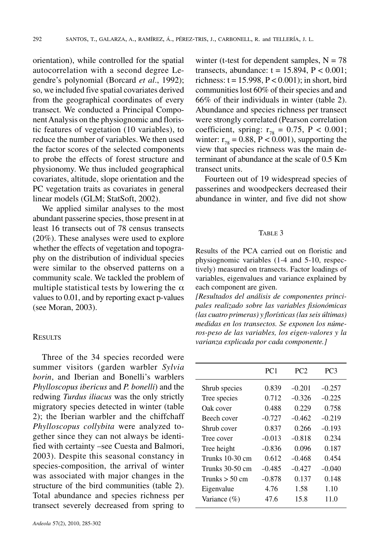orientation), while controlled for the spatial autocorrelation with a second degree Legendre's polynomial (Borcard *et al*., 1992); so, we included five spatial covariates derived from the geographical coordinates of every transect. We conducted a Principal ComponentAnalysis on the physiognomic and floristic features of vegetation (10 variables), to reduce the number of variables. We then used the factor scores of the selected components to probe the effects of forest structure and physionomy. We thus included geographical covariates, altitude, slope orientation and the PC vegetation traits as covariates in general linear models (GLM; StatSoft, 2002).

We applied similar analyses to the most abundant passerine species, those present in at least 16 transects out of 78 census transects (20%). These analyses were used to explore whether the effects of vegetation and topography on the distribution of individual species were similar to the observed patterns on a community scale. We tackled the problem of multiple statistical tests by lowering the  $\alpha$ values to 0.01, and by reporting exact p-values (see Moran, 2003).

#### **RESULTS**

Three of the 34 species recorded were summer visitors (garden warbler *Sylvia borin*, and Iberian and Bonelli's warblers *Phylloscopus ibericus* and *P. bonelli*) and the redwing *Turdus iliacus* was the only strictly migratory species detected in winter (table 2); the Iberian warbler and the chiffchaff *Phylloscopus collybita* were analyzed together since they can not always be identified with certainty –see Cuesta and Balmori, 2003). Despite this seasonal constancy in species-composition, the arrival of winter was associated with major changes in the structure of the bird communities (table 2). Total abundance and species richness per transect severely decreased from spring to

winter (t-test for dependent samples,  $N = 78$ transects, abundance:  $t = 15.894$ ,  $P < 0.001$ ; richness:  $t = 15.998$ ,  $P < 0.001$ ); in short, bird communities lost 60% of their species and and 66% of their individuals in winter (table 2). Abundance and species richness per transect were strongly correlated (Pearson correlation coefficient, spring:  $r_{78} = 0.75$ , P < 0.001; winter:  $r_{78} = 0.88$ ,  $P < 0.001$ ), supporting the view that species richness was the main determinant of abundance at the scale of 0.5 Km transect units.

Fourteen out of 19 widespread species of passerines and woodpeckers decreased their abundance in winter, and five did not show

#### TABLE 3

Results of the PCA carried out on floristic and physiognomic variables (1-4 and 5-10, respectively) measured on transects. Factor loadings of variables, eigenvalues and variance explained by each component are given.

*[Resultados del análisis de componentes principales realizado sobre las variables fisionómicas (las cuatro primeras) y florísticas(lasseis últimas) medidas en los transectos. Se exponen los números-peso de las variables, los eigen-valores y la varianza explicada por cada componente.]*

|                  | PC <sub>1</sub> | PC <sub>2</sub> | PC <sub>3</sub> |
|------------------|-----------------|-----------------|-----------------|
| Shrub species    | 0.839           | $-0.201$        | $-0.257$        |
| Tree species     | 0.712           | $-0.326$        | $-0.225$        |
| Oak cover        | 0.488           | 0.229           | 0.758           |
| Beech cover      | $-0.727$        | $-0.462$        | $-0.219$        |
| Shrub cover      | 0.837           | 0.266           | $-0.193$        |
| Tree cover       | $-0.013$        | $-0.818$        | 0.234           |
| Tree height      | $-0.836$        | 0.096           | 0.187           |
| Trunks 10-30 cm  | 0.612           | $-0.468$        | 0.454           |
| Trunks 30-50 cm  | $-0.485$        | $-0.427$        | $-0.040$        |
| Trunks $>$ 50 cm | $-0.878$        | 0.137           | 0.148           |
| Eigenvalue       | 4.76            | 1.58            | 1.10            |
| Variance $(\% )$ | 47.6            | 15.8            | 11.0            |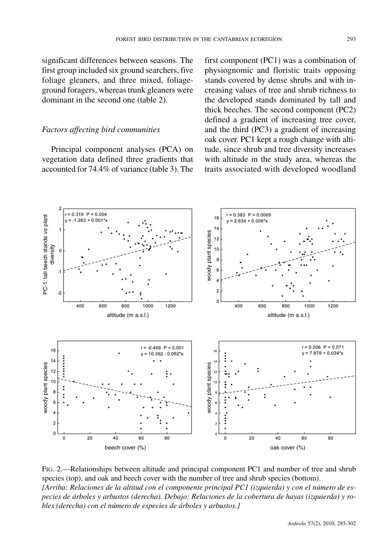significant differences between seasons. The first group included six ground searchers, five foliage gleaners, and three mixed, foliageground foragers, whereastrunk gleaners were dominant in the second one (table 2).

#### *Factors affecting bird communities*

Principal component analyses (PCA) on vegetation data defined three gradients that accounted for 74.4% of variance (table 3). The first component (PC1) was a combination of physiognomic and floristic traits opposing stands covered by dense shrubs and with increasing values of tree and shrub richness to the developed stands dominated by tall and thick beeches. The second component (PC2) defined a gradient of increasing tree cover, and the third (PC3) a gradient of increasing oak cover. PC1 kept a rough change with altitude, since shrub and tree diversity increases with altitude in the study area, whereas the traits associated with developed woodland



FIG. 2.—Relationships between altitude and principal component PC1 and number of tree and shrub species (top), and oak and beech cover with the number of tree and shrub species (bottom). *[Arriba: Relaciones de la altitud con el componente principal PC1 (izquierda) y con el número de especies de árboles y arbustos (derecha). Debajo: Relaciones de la cobertura de hayas (izquierda) y robles (derecha) con el número de especies de árboles y arbustos.]*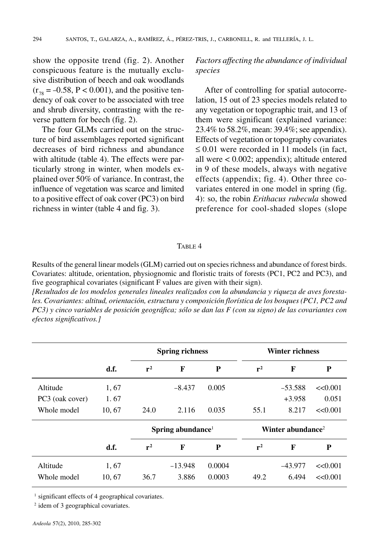show the opposite trend (fig. 2). Another conspicuous feature is the mutually exclusive distribution of beech and oak woodlands  $(r_{78} = -0.58, P < 0.001)$ , and the positive tendency of oak cover to be associated with tree and shrub diversity, contrasting with the reverse pattern for beech (fig. 2).

The four GLMs carried out on the structure of bird assemblages reported significant decreases of bird richness and abundance with altitude (table 4). The effects were particularly strong in winter, when models explained over 50% of variance. In contrast, the influence of vegetation was scarce and limited to a positive effect of oak cover (PC3) on bird richness in winter (table 4 and fig. 3).

## *Factors affecting the abundance of individual species*

After of controlling for spatial autocorrelation, 15 out of 23 species models related to any vegetation or topographic trait, and 13 of them were significant (explained variance: 23.4% to 58.2%, mean:  $39.4\%$ ; see appendix). Effects of vegetation or topography covariates  $\leq 0.01$  were recorded in 11 models (in fact, all were < 0.002; appendix); altitude entered in 9 of these models, always with negative effects (appendix; fig. 4). Other three covariates entered in one model in spring (fig. 4): so, the robin *Erithacus rubecula* showed preference for cool-shaded slopes (slope

#### TABLE 4

Results of the general linear models (GLM) carried out on species richness and abundance of forest birds. Covariates: altitude, orientation, physiognomic and floristic traits of forests (PC1, PC2 and PC3), and five geographical covariates (significant F values are given with their sign).

*[Resultados de los modelos generales lineales realizados con la abundancia y riqueza de aves forestales. Covariantes: altitud, orientación, estructura y composición florística de los bosques (PC1, PC2 and*  $PC3$ ) y cinco variables de posición geográfica; sólo se dan las  $F$  (con su signo) de las covariantes con *efectos significativos.]*

|                 |        | <b>Spring richness</b>        |           |        |                               | <b>Winter richness</b> |         |
|-----------------|--------|-------------------------------|-----------|--------|-------------------------------|------------------------|---------|
|                 | d.f.   | $r^2$                         | F         | P      | $r^2$                         | F                      | P       |
| Altitude        | 1,67   |                               | $-8.437$  | 0.005  |                               | $-53.588$              | <<0.001 |
| PC3 (oak cover) | 1.67   |                               |           |        |                               | $+3.958$               | 0.051   |
| Whole model     | 10, 67 | 24.0                          | 2.116     | 0.035  | 55.1                          | 8.217                  | <<0.001 |
|                 |        | Spring abundance <sup>1</sup> |           |        | Winter abundance <sup>2</sup> |                        |         |
|                 | d.f.   | $r^2$                         | F         | P      | $r^2$                         | F                      |         |
| Altitude        | 1,67   |                               | $-13.948$ | 0.0004 |                               | $-43.977$              | <<0.001 |
| Whole model     | 10.67  | 36.7                          | 3.886     | 0.0003 | 49.2                          | 6.494                  | <<0.001 |

significant effects of 4 geographical covariates.

<sup>2</sup> idem of 3 geographical covariates.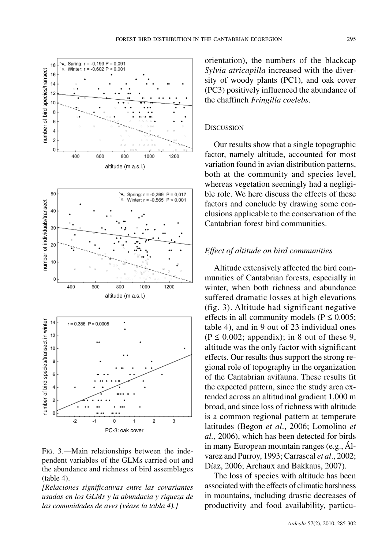

FIG. 3.—Main relationships between the independent variables of the GLMs carried out and the abundance and richness of bird assemblages (table 4).

*[Relaciones significativas entre las covariantes usadas en los GLMs y la abundacia y riqueza de las comunidades de aves (véase la tabla 4).]*

orientation), the numbers of the blackcap *Sylvia atricapilla* increased with the diversity of woody plants (PC1), and oak cover (PC3) positively influenced the abundance of the chaffinch *Fringilla coelebs*.

### **DISCUSSION**

Our results show that a single topographic factor, namely altitude, accounted for most variation found in avian distribution patterns, both at the community and species level, whereas vegetation seemingly had a negligible role. We here discuss the effects of these factors and conclude by drawing some conclusions applicable to the conservation of the Cantabrian forest bird communities.

#### *Effect of altitude on bird communities*

Altitude extensively affected the bird communities of Cantabrian forests, especially in winter, when both richness and abundance suffered dramatic losses at high elevations (fig. 3). Altitude had significant negative effects in all community models ( $P \le 0.005$ ; table 4), and in 9 out of 23 individual ones  $(P \le 0.002$ ; appendix); in 8 out of these 9, altitude was the only factor with significant effects. Our results thus support the strong regional role of topography in the organization of the Cantabrian avifauna. These results fit the expected pattern, since the study area extended across an altitudinal gradient 1,000 m broad, and since loss of richness with altitude is a common regional pattern at temperate latitudes (Begon *et al*., 2006; Lomolino *et al.*, 2006), which has been detected for birds in many European mountain ranges (e.g., Álvarez and Purroy, 1993; Carrascal *et al*., 2002; Díaz, 2006; Archaux and Bakkaus, 2007).

The loss of species with altitude has been associated with the effects of climatic harshness in mountains, including drastic decreases of productivity and food availability, particu-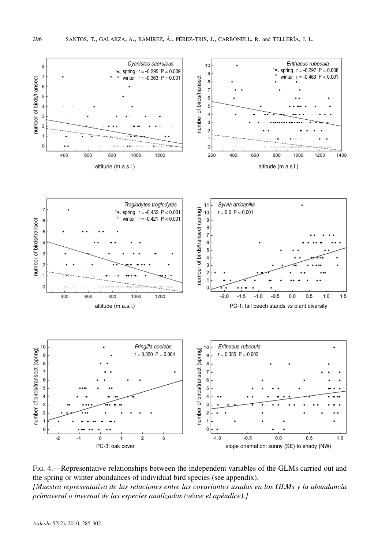

FIG. 4.—Representative relationships between the independent variables of the GLMs carried out and the spring or winter abundances of individual bird species (see appendix). *[Muestra representativa de las relaciones entre las covariantes usadas en los GLMs y la abundancia primaveral o invernal de las especies analizadas (véase el apéndice).]*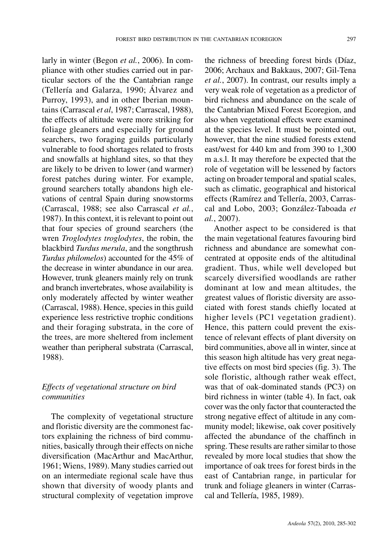larly in winter (Begon *et al.*, 2006). In compliance with other studies carried out in particular sectors of the the Cantabrian range (Tellería and Galarza, 1990; Álvarez and Purroy, 1993), and in other Iberian mountains (Carrascal *et al*, 1987; Carrascal, 1988), the effects of altitude were more striking for foliage gleaners and especially for ground searchers, two foraging guilds particularly vulnerable to food shortages related to frosts and snowfalls at highland sites, so that they are likely to be driven to lower (and warmer) forest patches during winter. For example, ground searchers totally abandons high elevations of central Spain during snowstorms (Carrascal, 1988; see also Carrascal *et al.*, 1987). In this context, it is relevant to point out that four species of ground searchers (the wren *Troglodytes troglodytes*, the robin, the blackbird *Turdus merula*, and the songthrush *Turdus philomelos*) accounted for the 45% of the decrease in winter abundance in our area. However, trunk gleaners mainly rely on trunk and branch invertebrates, whose availability is only moderately affected by winter weather (Carrascal, 1988). Hence, species in this guild experience less restrictive trophic conditions and their foraging substrata, in the core of the trees, are more sheltered from inclement weather than peripheral substrata (Carrascal, 1988).

# *Effects of vegetational structure on bird communities*

The complexity of vegetational structure and floristic diversity are the commonest factors explaining the richness of bird communities, basically through their effects on niche diversification (MacArthur and MacArthur, 1961;Wiens, 1989). Many studies carried out on an intermediate regional scale have thus shown that diversity of woody plants and structural complexity of vegetation improve

the richness of breeding forest birds (Díaz, 2006; Archaux and Bakkaus, 2007; Gil-Tena *et al.*, 2007). In contrast, our results imply a very weak role of vegetation as a predictor of bird richness and abundance on the scale of the Cantabrian Mixed Forest Ecoregion, and also when vegetational effects were examined at the species level. It must be pointed out, however, that the nine studied forests extend east/west for 440 km and from 390 to 1,300 m a.s.l. It may therefore be expected that the role of vegetation will be lessened by factors acting on broader temporal and spatial scales, such as climatic, geographical and historical effects (Ramírez and Tellería, 2003, Carrascal and Lobo, 2003; González-Taboada *et al.*, 2007).

Another aspect to be considered is that the main vegetational features favouring bird richness and abundance are somewhat concentrated at opposite ends of the altitudinal gradient. Thus, while well developed but scarcely diversified woodlands are rather dominant at low and mean altitudes, the greatest values of floristic diversity are associated with forest stands chiefly located at higher levels (PC1 vegetation gradient). Hence, this pattern could prevent the existence of relevant effects of plant diversity on bird communities, above all in winter, since at this season high altitude has very great negative effects on most bird species (fig. 3). The sole floristic, although rather weak effect, was that of oak-dominated stands (PC3) on bird richness in winter (table 4). In fact, oak cover wasthe only factor that counteracted the strong negative effect of altitude in any community model; likewise, oak cover positively affected the abundance of the chaffinch in spring. These results are rather similar to those revealed by more local studies that show the importance of oak trees for forest birds in the east of Cantabrian range, in particular for trunk and foliage gleaners in winter (Carrascal and Tellería, 1985, 1989).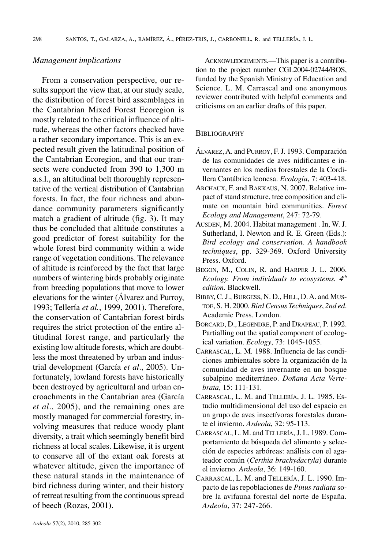#### *Management implications*

From a conservation perspective, our results support the view that, at our study scale, the distribution of forest bird assemblages in the Cantabrian Mixed Forest Ecoregion is mostly related to the critical influence of altitude, whereas the other factors checked have a rather secondary importance. This is an expected result given the latitudinal position of the Cantabrian Ecoregion, and that our transects were conducted from 390 to 1,300 m a.s.l., an altitudinal belt thoroughly representative of the vertical distribution of Cantabrian forests. In fact, the four richness and abundance community parameters significantly match a gradient of altitude (fig. 3). It may thus be concluded that altitude constitutes a good predictor of forest suitability for the whole forest bird community within a wide range of vegetation conditions. The relevance of altitude is reinforced by the fact that large numbers of wintering birds probably originate from breeding populations that move to lower elevations for the winter (Álvarez and Purroy, 1993; Tellería *et al.*, 1999, 2001). Therefore, the conservation of Cantabrian forest birds requires the strict protection of the entire altitudinal forest range, and particularly the existing low altitude forests, which are doubtless the most threatened by urban and industrial development (García *et al*., 2005). Unfortunately, lowland forests have historically been destroyed by agricultural and urban encroachments in the Cantabrian area (García *et al*., 2005), and the remaining ones are mostly managed for commercial forestry, involving measures that reduce woody plant diversity, a trait which seemingly benefit bird richness at local scales. Likewise, it is urgent to conserve all of the extant oak forests at whatever altitude, given the importance of these natural stands in the maintenance of bird richness during winter, and their history of retreat resulting from the continuous spread of beech (Rozas, 2001).

ACKNOWLEDGEMENTS.—This paper is a contribution to the project number CGL2004-02744/BOS, funded by the Spanish Ministry of Education and Science. L. M. Carrascal and one anonymous reviewer contributed with helpful comments and criticisms on an earlier drafts of this paper.

#### **BIBLIOGRAPHY**

- ÁLVAREZ,A. and PURROY, F.J. 1993. Comparación de las comunidades de aves nidificantes e invernantes en los medios forestales de la Cordillera Cantábrica leonesa. *Ecología*, 7: 403-418.
- ARCHAUX, F. and BAKKAUS, N. 2007. Relative impact of stand structure, tree composition and climate on mountain bird communities. *Forest Ecology and Management*, 247: 72-79.
- AUSDEN, M. 2004. Habitat management . In, W. J. Sutherland, I. Newton and R. E. Green (Eds.): *Bird ecology and conservation. A handbook techniques*, pp. 329-369. Oxford University Press. Oxford.
- BEGON, M., COLIN, R. and HARPER J. L. 2006. *Ecology. From individuals to ecosystems. 4th edition*. Blackwell.
- BIBBY, C.J., BURGESS, N. D., HILL, D.A. and MUS-TOE, S. H. 2000. *Bird Census Techniques*, *2nd ed*. Academic Press. London.
- BORCARD, D., LEGENDRE, P. and DRAPEAU, P. 1992. Partialling out the spatial component of ecological variation. *Ecology*, 73: 1045-1055.
- CARRASCAL, L. M. 1988. Influencia de las condiciones ambientales sobre la organización de la comunidad de aves invernante en un bosque subalpino mediterráneo. *Doñana Acta Vertebrata*, 15: 111-131.
- CARRASCAL, L. M. and TELLERÍA, J. L. 1985. Estudio multidimensional del uso del espacio en un grupo de aves insectívoras forestales durante el invierno. *Ardeola*, 32: 95-113.
- CARRASCAL, L. M. and TELLERÍA,J. L. 1989. Comportamiento de búsqueda del alimento y selección de especies arbóreas: análisis con el agateador común (*Certhia brachydactyla*) durante el invierno. *Ardeola*, 36: 149-160.
- CARRASCAL, L. M. and TELLERÍA, J. L. 1990. Impacto de las repoblaciones de *Pinus radiata* sobre la avifauna forestal del norte de España. *Ardeola*, 37: 247-266.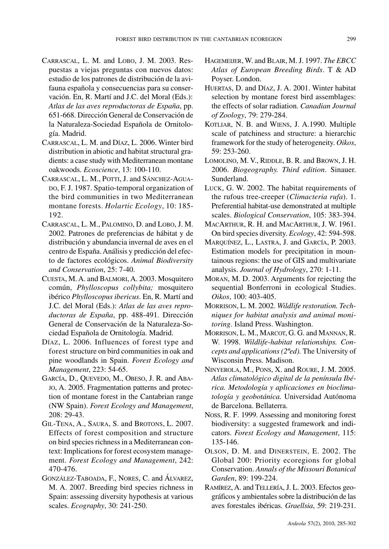- CARRASCAL, L. M. and LOBO, J. M. 2003. Respuestas a viejas preguntas con nuevos datos: estudio de los patrones de distribución de la avifauna española y consecuencias para su conservación. En, R. Martí and J.C. del Moral (Eds.): *Atlas de las aves reproductoras de España*, pp. 651-668. Dirección General de Conservación de la Naturaleza-Sociedad Española de Ornitología. Madrid.
- CARRASCAL, L. M. and DÍAZ, L. 2006. Winter bird distribution in abiotic and habitat structural gradients: a case study with Mediterranean montane oakwoods. *Ecoscience*, 13: 100-110.
- CARRASCAL, L. M., POTTI, J. and SÁNCHEZ-AGUA-DO, F. J. 1987. Spatio-temporal organization of the bird communities in two Mediterranean montane forests. *Holartic Ecology*, 10: 185- 192.
- CARRASCAL, L. M., PALOMINO, D. and LOBO, J. M. 2002. Patrones de preferencias de hábitat y de distribución y abundancia invernal de aves en el centro de España.Análisis y predicción del efecto de factores ecológicos. *Animal Biodiversity and Conservation*, 25: 7-40.
- CUESTA, M.A. and BALMORI,A. 2003. Mosquitero común, *Phylloscopus collybita;* mosquitero ibérico *Phylloscopus ibericus*. En, R. Martí and J.C. del Moral (Eds.): *Atlas de las aves reproductoras de España*, pp. 488-491. Dirección General de Conservación de la Naturaleza-Sociedad Española de Ornitología. Madrid.
- DÍAZ, L. 2006. Influences of forest type and forest structure on bird communitiesin oak and pine woodlands in Spain. *Forest Ecology and Management*, 223: 54-65.
- GARCÍA, D., QUEVEDO, M., OBESO, J. R. and ABA-JO, A. 2005. Fragmentation patterns and protection of montane forest in the Cantabrian range (NW Spain). *Forest Ecology and Management*, 208: 29-43.
- GIL-TENA, A., SAURA, S. and BROTONS, L. 2007. Effects of forest composition and structure on bird species richness in a Mediterranean context: Implications for forest ecosystem management. *Forest Ecology and Management*, 242: 470-476.
- GONZÁLEZ-TABOADA, F., NORES, C. and ÁLVAREZ, M. A. 2007. Breeding bird species richness in Spain: assessing diversity hypothesis at various scales. *Ecography*, 30: 241-250.
- HAGEMEIJER,W. and BLAIR, M.J. 1997. *The EBCC Atlas of European Breeding Birds*. T & AD Poyser. London.
- HUERTAS, D. and DÍAZ, J. A. 2001. Winter habitat selection by montane forest bird assemblages: the effects of solar radiation. *Canadian Journal of Zoology*, 79: 279-284.
- KOTLIAR, N. B. and WIENS, J. A.1990. Multiple scale of patchiness and structure: a hierarchic framework for the study of heterogeneity. *Oikos*, 59: 253-260.
- LOMOLINO, M. V., RIDDLE, B. R. and BROWN, J. H. 2006. *Biogeography. Third edition*. Sinauer. Sunderland.
- LUCK, G. W. 2002. The habitat requirements of the rufous tree-creeper (*Climacteria rufa*). 1. Preferential habitat-use demonstrated at multiple scales. *Biological Conservation*, 105: 383-394.
- MACARTHUR, R. H. and MACARTHUR, J. W. 1961. On bird species diversity. *Ecology*, 42: 594-598.
- MARQUÍNEZ, L., LASTRA, J. and GARCÍA, P. 2003. Estimation models for precipitation in mountainous regions: the use of GIS and multivariate analysis. *Journal of Hydrology*, 270: 1-11.
- MORAN, M. D. 2003. Arguments for rejecting the sequential Bonferroni in ecological Studies. *Oikos*, 100: 403-405.
- MORRISON, L. M. 2002. *Wildlife restoration. Techniques for habitat analysis and animal monitoring*. Island Press. Washington.
- MORRISON, L. M., MARCOT, G. G. and MANNAN, R. W. 1998. *Wildlife-habitat relationships. Concepts and applications(2ªed).* The University of Wisconsin Press. Madison.
- NINYEROLA, M., PONS, X. and ROURE, J. M. 2005. *Atlas climatológico digital de la península Ibérica. Metodología y aplicaciones en bioclimatología y geobotánica.* Universidad Autónoma de Barcelona. Bellaterra.
- NOSS, R. F. 1999. Assessing and monitoring forest biodiversity: a suggested framework and indicators. *Forest Ecology and Management*, 115: 135-146.
- OLSON, D. M. and DINERSTEIN, E. 2002. The Global 200: Priority ecoregions for global Conservation. *Annals of the Missouri Botanical Garden*, 89: 199-224.
- RAMÍREZ,A. and TELLERÍA, J. L. 2003. Efectos geográficos y ambientales sobre la distribución de las aves forestales ibéricas. *Graellsia*, 59: 219-231.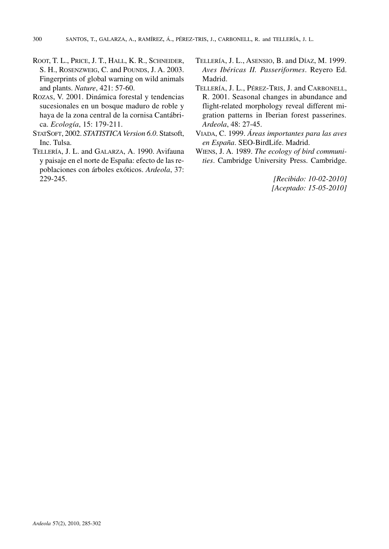- ROOT, T. L., PRICE, J. T., HALL, K. R., SCHNEIDER, S. H., ROSENZWEIG, C. and POUNDS, J. A. 2003. Fingerprints of global warning on wild animals and plants. *Nature*, 421: 57-60.
- ROZAS, V. 2001. Dinámica forestal y tendencias sucesionales en un bosque maduro de roble y haya de la zona central de la cornisa Cantábrica. *Ecología*, 15: 179-211.
- STATSOFT, 2002. *STATISTICA Version* 6.0. Statsoft, Inc. Tulsa.
- TELLERÍA, J. L. and GALARZA, A. 1990. Avifauna y paisaje en el norte de España: efecto de las repoblaciones con árboles exóticos. *Ardeola*, 37: 229-245.
- TELLERÍA, J. L., ASENSIO, B. and DÍAZ, M. 1999. *Aves Ibéricas II. Passeriformes*. Reyero Ed. Madrid.
- TELLERÍA, J. L., PÉREZ-TRIS, J. and CARBONELL, R. 2001. Seasonal changes in abundance and flight-related morphology reveal different migration patterns in Iberian forest passerines. *Ardeola*, 48: 27-45.
- VIADA, C. 1999. *Áreas importantes para las aves en España*. SEO-BirdLife. Madrid.
- WIENS, J. A. 1989. *The ecology of bird communities*. Cambridge University Press. Cambridge.

*[Recibido: 10-02-2010] [Aceptado: 15-05-2010]*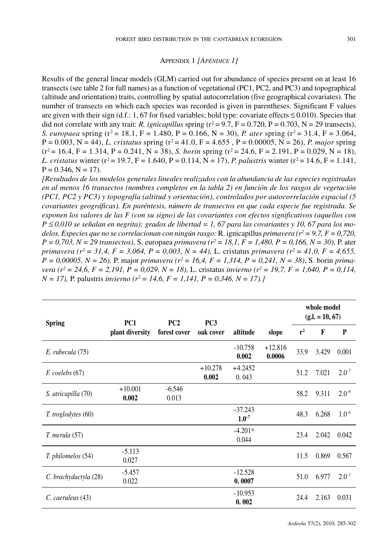#### APPENDIX 1 *[APÉNDICE 1]*

Results of the general linear models (GLM) carried out for abundance of species present on at least 16 transects (see table 2 for full names) as a function of vegetational (PC1, PC2, and PC3) and topographical (altitude and orientation) traits, controlling by spatial autocorrelation (five geographical covariates). The number of transects on which each species was recorded is given in parentheses. Significant F values are given with their sign (d.f.: 1, 67 for fixed variables; bold type: covariate effects  $\leq 0.010$ ). Species that did not correlate with any trait: *R. ignicapillus* spring  $(r^2 = 9.7, F = 0.720, P = 0.703, N = 29$  transects), *S. europaea* spring ( $r^2 = 18.1$ , F = 1.480, P = 0.166, N = 30), *P. ater* spring ( $r^2 = 31.4$ , F = 3.064,  $P = 0.003$ ,  $N = 44$ , *L. cristatus* spring ( $r^2 = 41.0$ ,  $F = 4.655$ ,  $P = 0.00005$ ,  $N = 26$ ), *P. major* spring  $(r^2 = 16.4, F = 1.314, P = 0.241, N = 38)$ , *S. borin* spring  $(r^2 = 24.6, F = 2.191, P = 0.029, N = 18)$ , *L. cristatus* winter ( $r^2 = 19.7$ ,  $F = 1.640$ ,  $P = 0.114$ ,  $N = 17$ ), *P. palustris* winter ( $r^2 = 14.6$ ,  $F = 1.141$ ,  $P = 0.346$ ,  $N = 17$ ).

*[Resultados de los modelos generales lineales realizados con la abundancia de las especies registradas en al menos 16 transectos (nombres completos en la tabla 2) en función de los rasgos de vegetación (PC1, PC2 y PC3) y topografía (altitud y orientación), controlados por autocorrelación espacial (5 covariantes geográficas). En paréntesis, número de transectos en que cada especie fue registrada. Se exponen los valores de las F (con su signo) de las covariantes con efectos significativos (aquellos con*  $P \le 0.010$  se señalan en negrita); grados de libertad = 1, 67 para las covariantes y 10, 67 para los mo*delos. Especies que no se correlacionan con ningún rasgo:* R. ignicapillus *primavera (r2= 9,7, F = 0,720,*  $P = 0,703$ ,  $N = 29$  transectos), S. europaea primavera ( $r^2 = 18,1$ ,  $F = 1,480$ ,  $P = 0,166$ ,  $N = 30$ ), P. ater primavera ( $r^2 = 31.4$ ,  $F = 3,064$ ,  $P = 0,003$ ,  $N = 44$ ), L. cristatus primavera ( $r^2 = 41.0$ ,  $F = 4,655$ ,  $P = 0,00005$ ,  $N = 26$ ), P. major primavera ( $r^2 = 16,4$ ,  $F = 1,314$ ,  $P = 0,241$ ,  $N = 38$ ), S. borin primavera ( $r^2 = 24.6$ ,  $F = 2.191$ ,  $P = 0.029$ ,  $N = 18$ ), L. cristatus invierno ( $r^2 = 19.7$ ,  $F = 1.640$ ,  $P = 0.114$ , *N = 17),* P. palustris *invierno (r2 = 14,6, F = 1,141, P = 0,346, N = 17).]*

| <b>Spring</b>         | PC <sub>1</sub>    | PC <sub>2</sub><br>forest cover | PC <sub>3</sub><br>oak cover |                         |                     | whole model<br>$(g.l. = 10, 67)$ |       |            |
|-----------------------|--------------------|---------------------------------|------------------------------|-------------------------|---------------------|----------------------------------|-------|------------|
|                       | plant diversity    |                                 |                              | altitude                | slope               | $r^2$                            | F     | P          |
| E. rubecula (75)      |                    |                                 |                              | $-10.758$<br>0.002      | $+12.816$<br>0.0006 | 33.9                             | 3.429 | 0.001      |
| $F.$ coelebs $(67)$   |                    |                                 | $+10.278$<br>0.002           | $+4.2452$<br>0.043      |                     | 51.2                             | 7.021 | $2.0^{-7}$ |
| S. atricapilla (70)   | $+10.001$<br>0.002 | $-6.546$<br>0.013               |                              |                         |                     | 58.2                             | 9.311 | $2.0^{-9}$ |
| T. troglodytes (60)   |                    |                                 |                              | $-37.243$<br>$1.0^{-7}$ |                     | 48.3                             | 6.268 | $1.0^{-6}$ |
| T. merula (57)        |                    |                                 |                              | $-4.201*$<br>0.044      |                     | 23.4                             | 2.042 | 0.042      |
| T. philomelos (54)    | $-5.113$<br>0.027  |                                 |                              |                         |                     | 11.5                             | 0.869 | 0.567      |
| C. brachydactyla (28) | $-5.457$<br>0.022  |                                 |                              | $-12.528$<br>0.0007     |                     | 51.0                             | 6.977 | $2.0^{-7}$ |
| C. caeruleus (43)     |                    |                                 |                              | $-10.953$<br>0.002      |                     | 24.4                             | 2.163 | 0.031      |